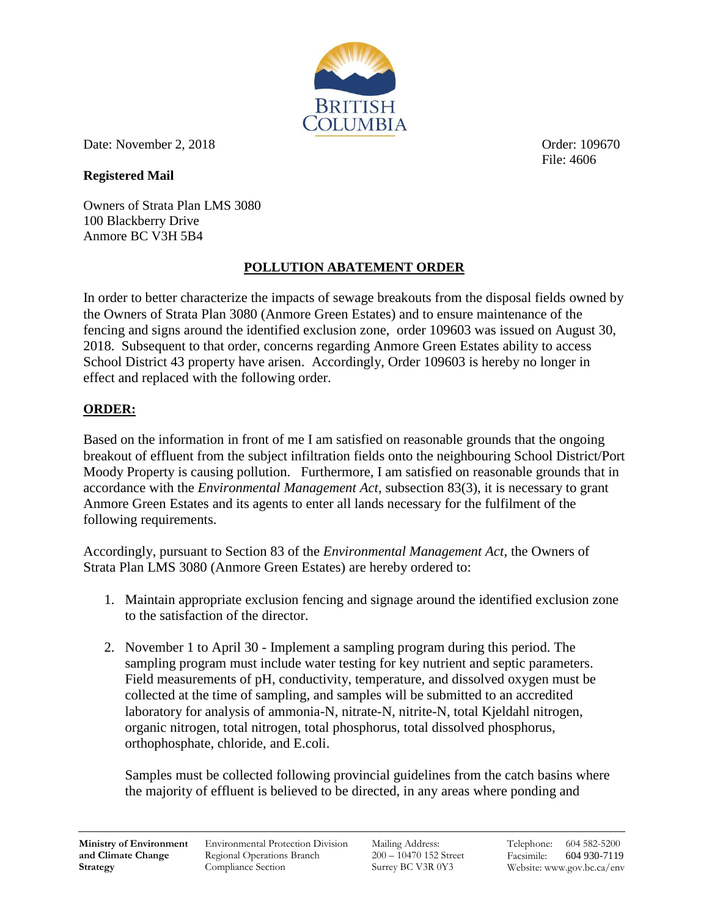

Date: November 2, 2018 **Date:** November 2, 2018

## **Registered Mail**

Owners of Strata Plan LMS 3080 100 Blackberry Drive Anmore BC V3H 5B4

## **POLLUTION ABATEMENT ORDER**

In order to better characterize the impacts of sewage breakouts from the disposal fields owned by the Owners of Strata Plan 3080 (Anmore Green Estates) and to ensure maintenance of the fencing and signs around the identified exclusion zone, order 109603 was issued on August 30, 2018. Subsequent to that order, concerns regarding Anmore Green Estates ability to access School District 43 property have arisen. Accordingly, Order 109603 is hereby no longer in effect and replaced with the following order.

## **ORDER:**

Based on the information in front of me I am satisfied on reasonable grounds that the ongoing breakout of effluent from the subject infiltration fields onto the neighbouring School District/Port Moody Property is causing pollution. Furthermore, I am satisfied on reasonable grounds that in accordance with the *Environmental Management Act*, subsection 83(3), it is necessary to grant Anmore Green Estates and its agents to enter all lands necessary for the fulfilment of the following requirements.

Accordingly, pursuant to Section 83 of the *Environmental Management Act*, the Owners of Strata Plan LMS 3080 (Anmore Green Estates) are hereby ordered to:

- 1. Maintain appropriate exclusion fencing and signage around the identified exclusion zone to the satisfaction of the director.
- 2. November 1 to April 30 Implement a sampling program during this period. The sampling program must include water testing for key nutrient and septic parameters. Field measurements of pH, conductivity, temperature, and dissolved oxygen must be collected at the time of sampling, and samples will be submitted to an accredited laboratory for analysis of ammonia-N, nitrate-N, nitrite-N, total Kjeldahl nitrogen, organic nitrogen, total nitrogen, total phosphorus, total dissolved phosphorus, orthophosphate, chloride, and E.coli.

Samples must be collected following provincial guidelines from the catch basins where the majority of effluent is believed to be directed, in any areas where ponding and

Environmental Protection Division Regional Operations Branch Compliance Section

Mailing Address: 200 – 10470 152 Street Surrey BC V3R 0Y3

File: 4606